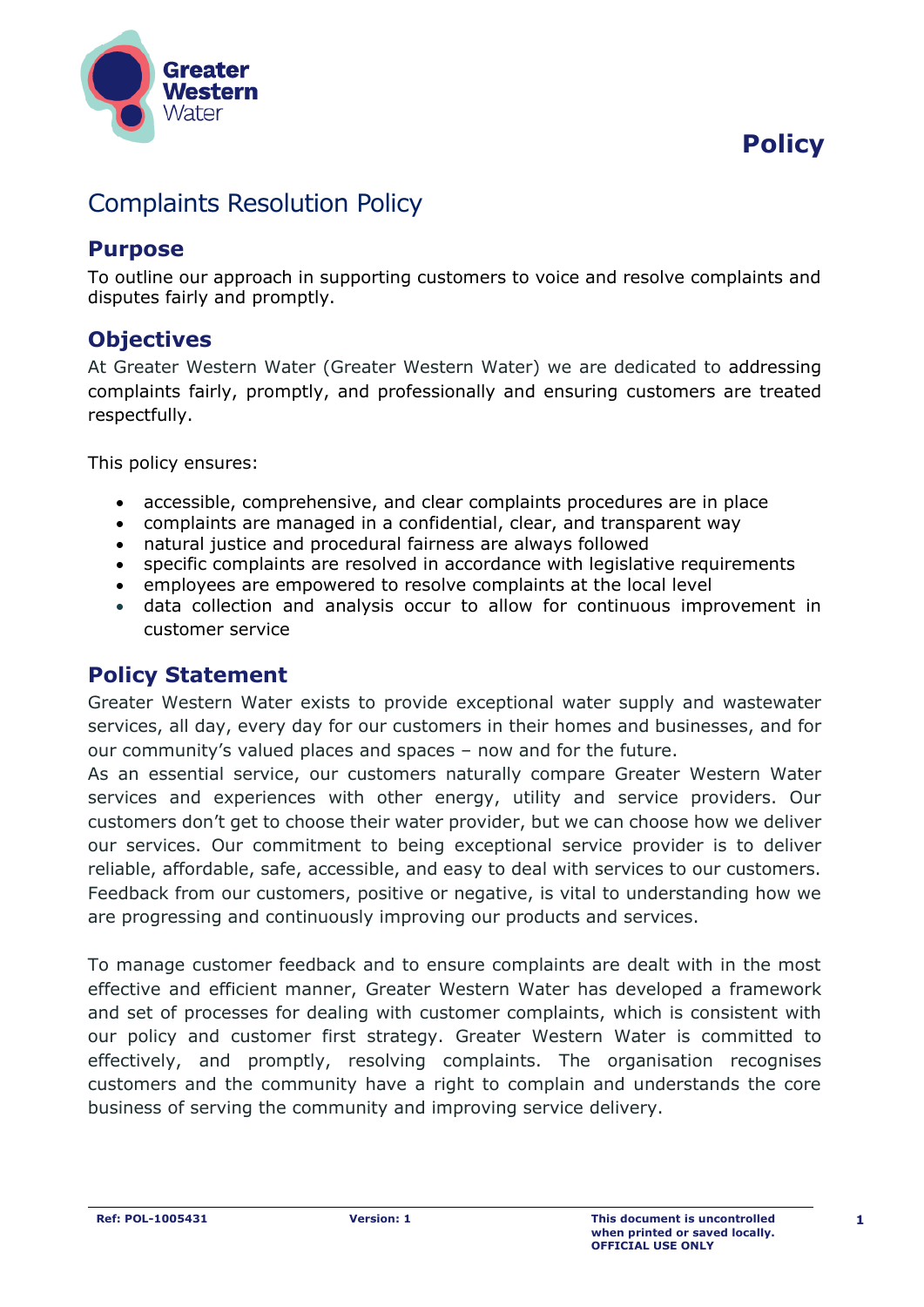# **Policy**



# Complaints Resolution Policy

#### **Purpose**

To outline our approach in supporting customers to voice and resolve complaints and disputes fairly and promptly.

## **Objectives**

At Greater Western Water (Greater Western Water) we are dedicated to addressing complaints fairly, promptly, and professionally and ensuring customers are treated respectfully.

This policy ensures:

- accessible, comprehensive, and clear complaints procedures are in place
- complaints are managed in a confidential, clear, and transparent way
- natural justice and procedural fairness are always followed
- specific complaints are resolved in accordance with legislative requirements
- employees are empowered to resolve complaints at the local level
- data collection and analysis occur to allow for continuous improvement in customer service

#### **Policy Statement**

Greater Western Water exists to provide exceptional water supply and wastewater services, all day, every day for our customers in their homes and businesses, and for our community's valued places and spaces – now and for the future.

As an essential service, our customers naturally compare Greater Western Water services and experiences with other energy, utility and service providers. Our customers don't get to choose their water provider, but we can choose how we deliver our services. Our commitment to being exceptional service provider is to deliver reliable, affordable, safe, accessible, and easy to deal with services to our customers. Feedback from our customers, positive or negative, is vital to understanding how we are progressing and continuously improving our products and services.

To manage customer feedback and to ensure complaints are dealt with in the most effective and efficient manner, Greater Western Water has developed a framework and set of processes for dealing with customer complaints, which is consistent with our policy and customer first strategy. Greater Western Water is committed to effectively, and promptly, resolving complaints. The organisation recognises customers and the community have a right to complain and understands the core business of serving the community and improving service delivery.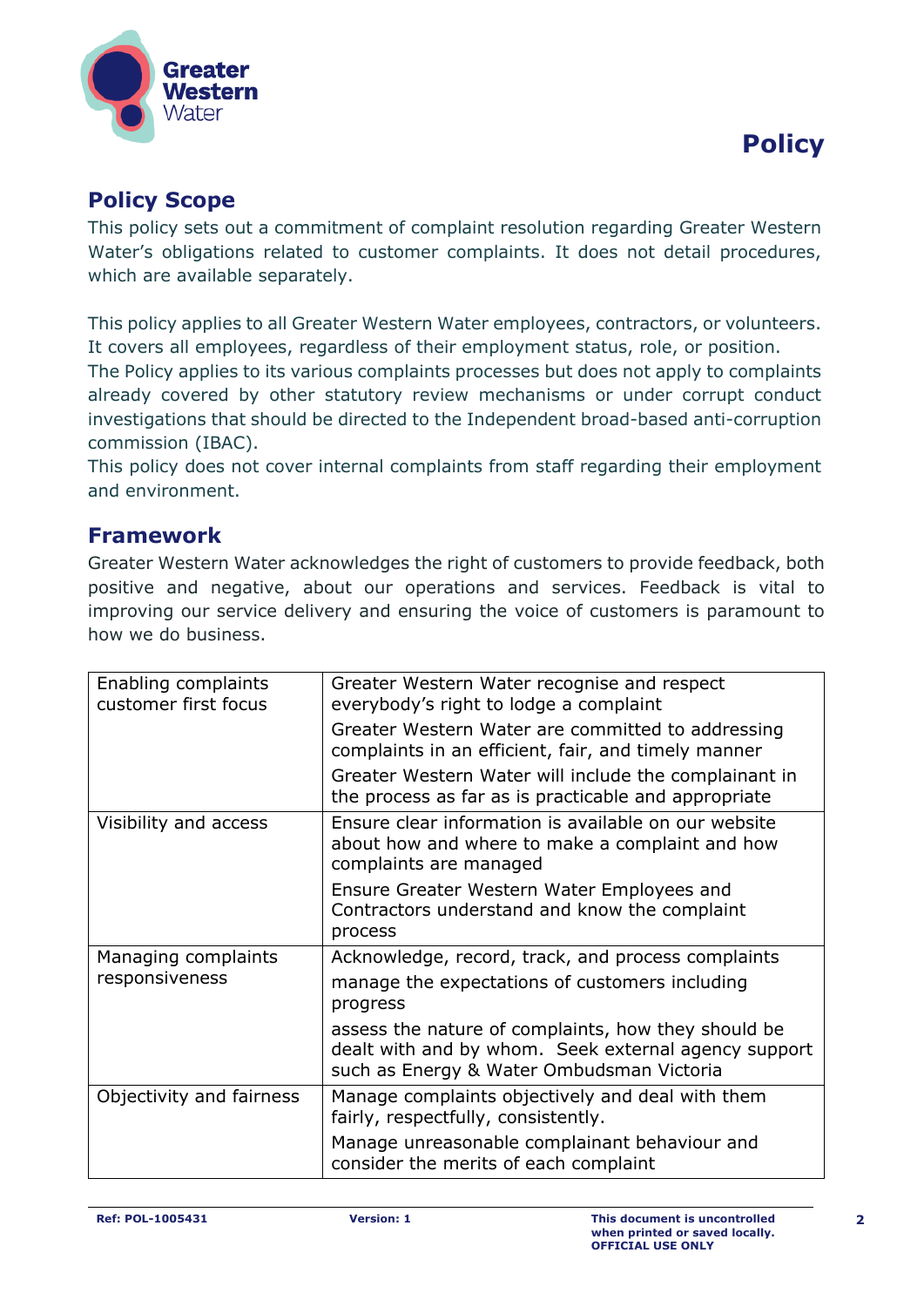

#### **Policy Scope**

This policy sets out a commitment of complaint resolution regarding Greater Western Water's obligations related to customer complaints. It does not detail procedures, which are available separately.

This policy applies to all Greater Western Water employees, contractors, or volunteers. It covers all employees, regardless of their employment status, role, or position. The Policy applies to its various complaints processes but does not apply to complaints already covered by other statutory review mechanisms or under corrupt conduct investigations that should be directed to the Independent broad-based anti-corruption commission (IBAC).

This policy does not cover internal complaints from staff regarding their employment and environment.

#### **Framework**

Greater Western Water acknowledges the right of customers to provide feedback, both positive and negative, about our operations and services. Feedback is vital to improving our service delivery and ensuring the voice of customers is paramount to how we do business.

| Enabling complaints<br>customer first focus | Greater Western Water recognise and respect<br>everybody's right to lodge a complaint                                                                    |
|---------------------------------------------|----------------------------------------------------------------------------------------------------------------------------------------------------------|
|                                             | Greater Western Water are committed to addressing<br>complaints in an efficient, fair, and timely manner                                                 |
|                                             | Greater Western Water will include the complainant in<br>the process as far as is practicable and appropriate                                            |
| Visibility and access                       | Ensure clear information is available on our website<br>about how and where to make a complaint and how<br>complaints are managed                        |
|                                             | Ensure Greater Western Water Employees and<br>Contractors understand and know the complaint<br>process                                                   |
| Managing complaints<br>responsiveness       | Acknowledge, record, track, and process complaints                                                                                                       |
|                                             | manage the expectations of customers including<br>progress                                                                                               |
|                                             | assess the nature of complaints, how they should be<br>dealt with and by whom. Seek external agency support<br>such as Energy & Water Ombudsman Victoria |
| Objectivity and fairness                    | Manage complaints objectively and deal with them<br>fairly, respectfully, consistently.                                                                  |
|                                             | Manage unreasonable complainant behaviour and<br>consider the merits of each complaint                                                                   |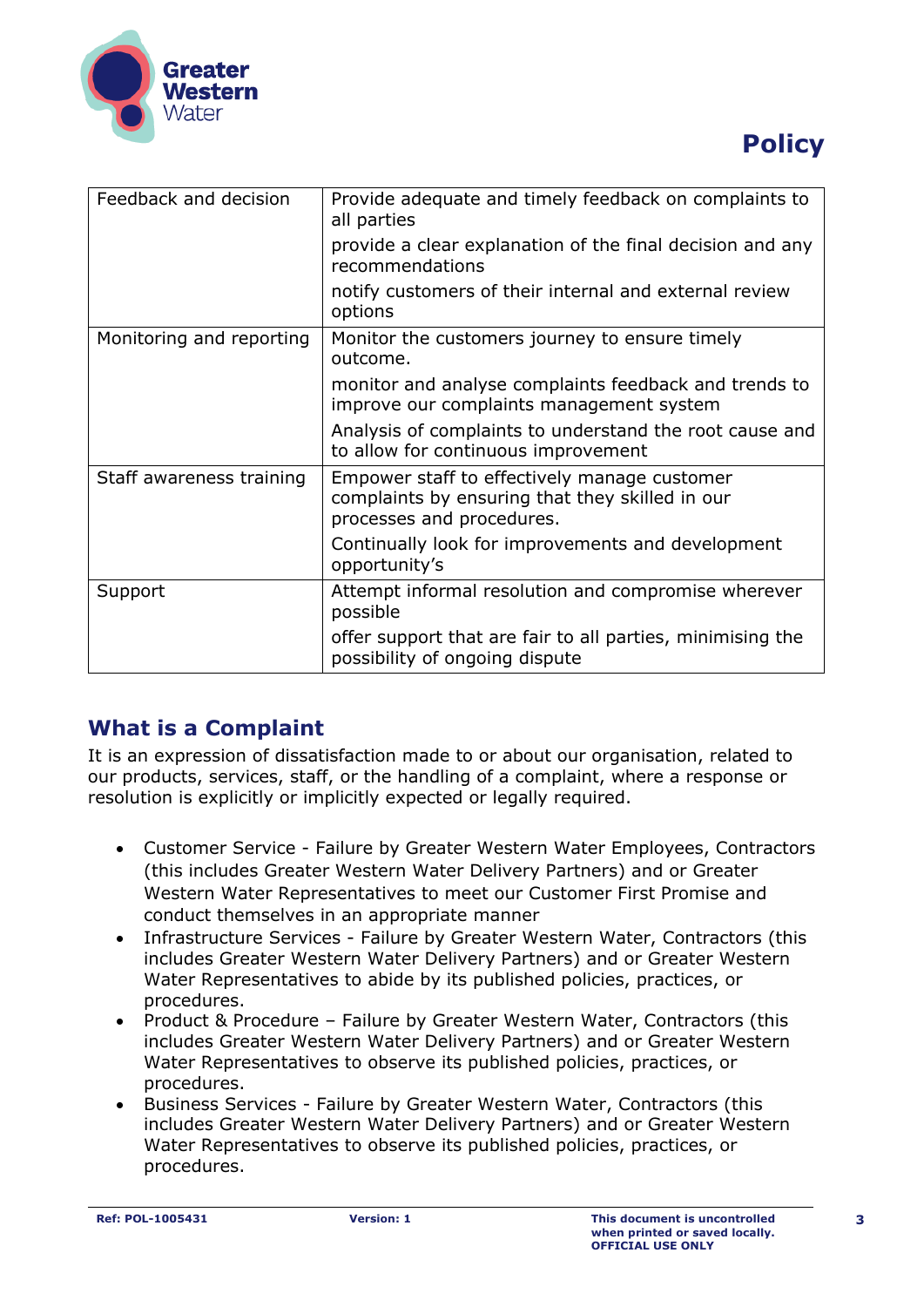

# **Policy**

| Feedback and decision    | Provide adequate and timely feedback on complaints to<br>all parties                                                         |
|--------------------------|------------------------------------------------------------------------------------------------------------------------------|
|                          | provide a clear explanation of the final decision and any<br>recommendations                                                 |
|                          | notify customers of their internal and external review<br>options                                                            |
| Monitoring and reporting | Monitor the customers journey to ensure timely<br>outcome.                                                                   |
|                          | monitor and analyse complaints feedback and trends to<br>improve our complaints management system                            |
|                          | Analysis of complaints to understand the root cause and<br>to allow for continuous improvement                               |
| Staff awareness training | Empower staff to effectively manage customer<br>complaints by ensuring that they skilled in our<br>processes and procedures. |
|                          | Continually look for improvements and development<br>opportunity's                                                           |
| Support                  | Attempt informal resolution and compromise wherever<br>possible                                                              |
|                          | offer support that are fair to all parties, minimising the<br>possibility of ongoing dispute                                 |

## **What is a Complaint**

It is an expression of dissatisfaction made to or about our organisation, related to our products, services, staff, or the handling of a complaint, where a response or resolution is explicitly or implicitly expected or legally required.

- Customer Service Failure by Greater Western Water Employees, Contractors (this includes Greater Western Water Delivery Partners) and or Greater Western Water Representatives to meet our Customer First Promise and conduct themselves in an appropriate manner
- Infrastructure Services Failure by Greater Western Water, Contractors (this includes Greater Western Water Delivery Partners) and or Greater Western Water Representatives to abide by its published policies, practices, or procedures.
- Product & Procedure Failure by Greater Western Water, Contractors (this includes Greater Western Water Delivery Partners) and or Greater Western Water Representatives to observe its published policies, practices, or procedures.
- Business Services Failure by Greater Western Water, Contractors (this includes Greater Western Water Delivery Partners) and or Greater Western Water Representatives to observe its published policies, practices, or procedures.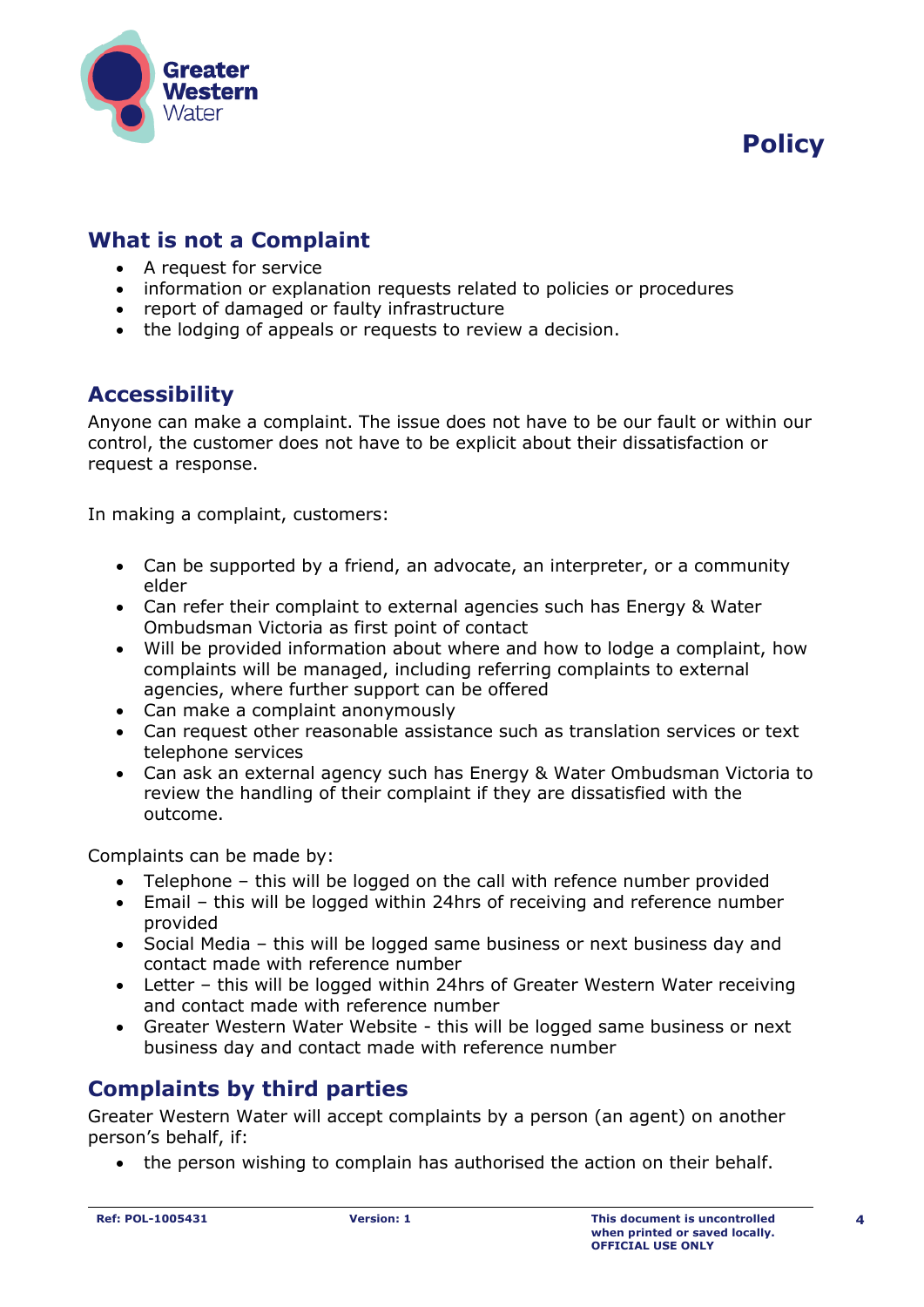



### **What is not a Complaint**

- A request for service
- information or explanation requests related to policies or procedures
- report of damaged or faulty infrastructure
- the lodging of appeals or requests to review a decision.

#### **Accessibility**

Anyone can make a complaint. The issue does not have to be our fault or within our control, the customer does not have to be explicit about their dissatisfaction or request a response.

In making a complaint, customers:

- Can be supported by a friend, an advocate, an interpreter, or a community elder
- Can refer their complaint to external agencies such has Energy & Water Ombudsman Victoria as first point of contact
- Will be provided information about where and how to lodge a complaint, how complaints will be managed, including referring complaints to external agencies, where further support can be offered
- Can make a complaint anonymously
- Can request other reasonable assistance such as translation services or text telephone services
- Can ask an external agency such has Energy & Water Ombudsman Victoria to review the handling of their complaint if they are dissatisfied with the outcome.

Complaints can be made by:

- Telephone this will be logged on the call with refence number provided
- Email this will be logged within 24hrs of receiving and reference number provided
- Social Media this will be logged same business or next business day and contact made with reference number
- Letter this will be logged within 24hrs of Greater Western Water receiving and contact made with reference number
- Greater Western Water Website this will be logged same business or next business day and contact made with reference number

#### **Complaints by third parties**

Greater Western Water will accept complaints by a person (an agent) on another person's behalf, if:

• the person wishing to complain has authorised the action on their behalf.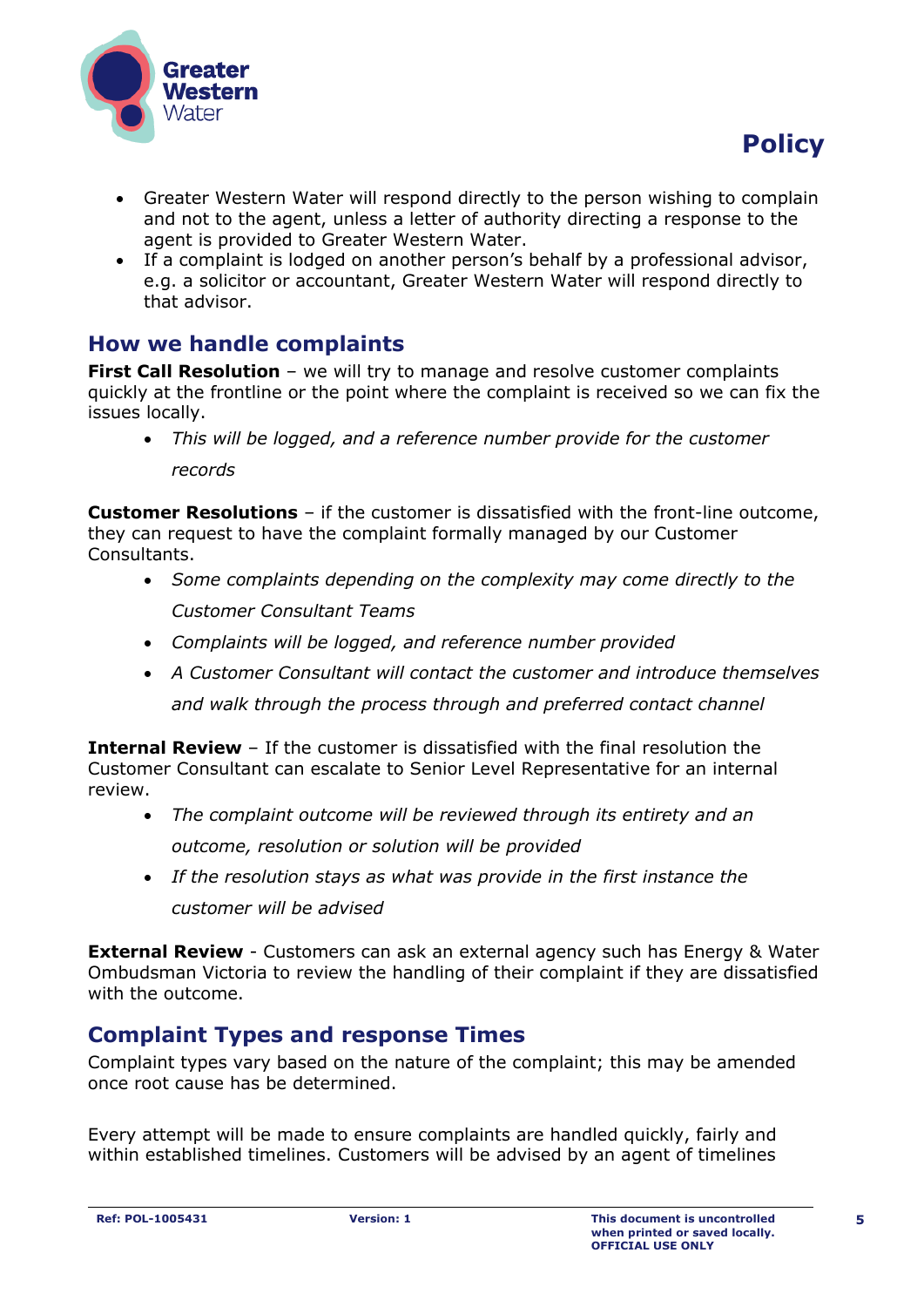

- Greater Western Water will respond directly to the person wishing to complain and not to the agent, unless a letter of authority directing a response to the agent is provided to Greater Western Water.
- If a complaint is lodged on another person's behalf by a professional advisor, e.g. a solicitor or accountant, Greater Western Water will respond directly to that advisor.

## **How we handle complaints**

**First Call Resolution** – we will try to manage and resolve customer complaints quickly at the frontline or the point where the complaint is received so we can fix the issues locally.

• *This will be logged, and a reference number provide for the customer records*

**Customer Resolutions** – if the customer is dissatisfied with the front-line outcome, they can request to have the complaint formally managed by our Customer Consultants.

- *Some complaints depending on the complexity may come directly to the Customer Consultant Teams*
- *Complaints will be logged, and reference number provided*
- *A Customer Consultant will contact the customer and introduce themselves and walk through the process through and preferred contact channel*

**Internal Review** – If the customer is dissatisfied with the final resolution the Customer Consultant can escalate to Senior Level Representative for an internal review.

- *The complaint outcome will be reviewed through its entirety and an outcome, resolution or solution will be provided*
- *If the resolution stays as what was provide in the first instance the customer will be advised*

**External Review** - Customers can ask an external agency such has Energy & Water Ombudsman Victoria to review the handling of their complaint if they are dissatisfied with the outcome.

## **Complaint Types and response Times**

Complaint types vary based on the nature of the complaint; this may be amended once root cause has be determined.

Every attempt will be made to ensure complaints are handled quickly, fairly and within established timelines. Customers will be advised by an agent of timelines

 **Policy**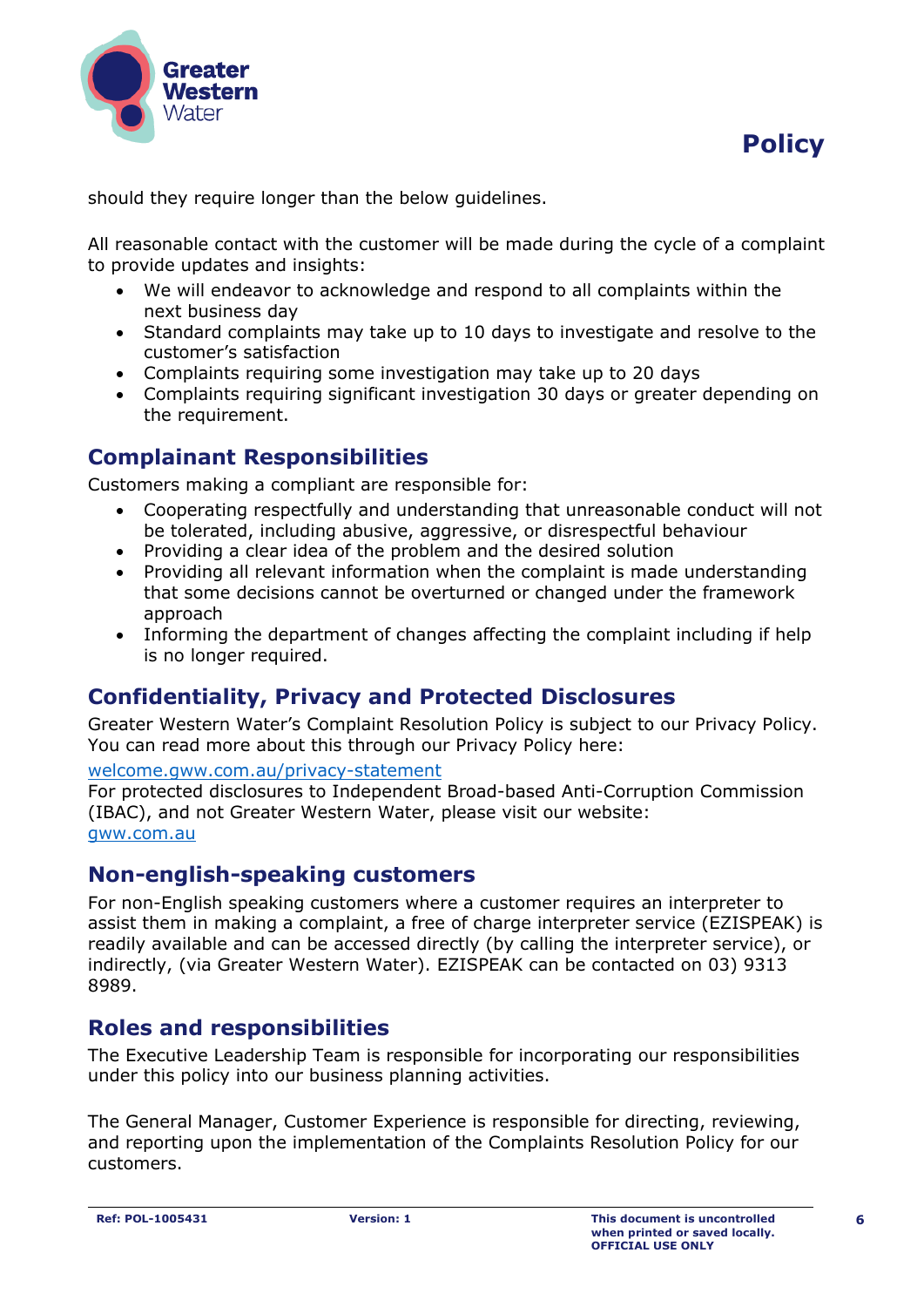

should they require longer than the below guidelines.

All reasonable contact with the customer will be made during the cycle of a complaint to provide updates and insights:

- We will endeavor to acknowledge and respond to all complaints within the next business day
- Standard complaints may take up to 10 days to investigate and resolve to the customer's satisfaction
- Complaints requiring some investigation may take up to 20 days
- Complaints requiring significant investigation 30 days or greater depending on the requirement.

## **Complainant Responsibilities**

Customers making a compliant are responsible for:

- Cooperating respectfully and understanding that unreasonable conduct will not be tolerated, including abusive, aggressive, or disrespectful behaviour
- Providing a clear idea of the problem and the desired solution
- Providing all relevant information when the complaint is made understanding that some decisions cannot be overturned or changed under the framework approach
- Informing the department of changes affecting the complaint including if help is no longer required.

#### **Confidentiality, Privacy and Protected Disclosures**

Greater Western Water's Complaint Resolution Policy is subject to our Privacy Policy. You can read more about this through our Privacy Policy here:

[welcome.gww.com.au/privacy-statement](https://cwwau.sharepoint.com/sites/JTO/JTO/11%20Approved%20Policies%20&%20Processes/Templated%20(needs%20footer%20info)/welcome.gww.com.au/privacy-statement)

For protected disclosures to Independent Broad-based Anti-Corruption Commission (IBAC), and not Greater Western Water, please visit our website: [gww.com.au](https://cwwau.sharepoint.com/sites/JTO/JTO/11%20Approved%20Policies%20&%20Processes/Templated%20(needs%20footer%20info)/gww.com.au)

#### **Non-english-speaking customers**

For non-English speaking customers where a customer requires an interpreter to assist them in making a complaint, a free of charge interpreter service (EZISPEAK) is readily available and can be accessed directly (by calling the interpreter service), or indirectly, (via Greater Western Water). EZISPEAK can be contacted on 03) 9313 8989.

#### **Roles and responsibilities**

The Executive Leadership Team is responsible for incorporating our responsibilities under this policy into our business planning activities.

The General Manager, Customer Experience is responsible for directing, reviewing, and reporting upon the implementation of the Complaints Resolution Policy for our customers.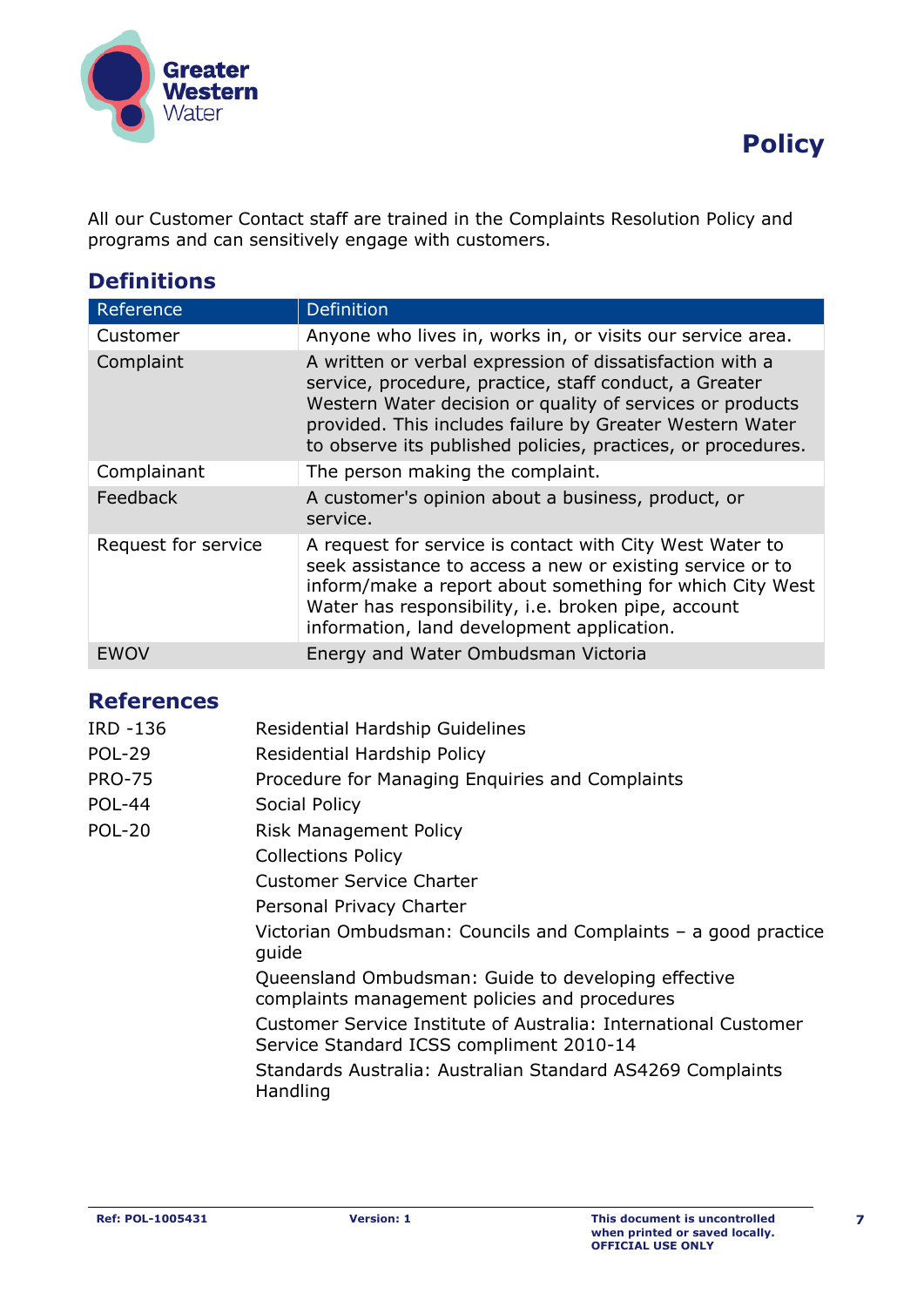



All our Customer Contact staff are trained in the Complaints Resolution Policy and programs and can sensitively engage with customers.

## **Definitions**

| Reference           | <b>Definition</b>                                                                                                                                                                                                                                                                                           |
|---------------------|-------------------------------------------------------------------------------------------------------------------------------------------------------------------------------------------------------------------------------------------------------------------------------------------------------------|
| Customer            | Anyone who lives in, works in, or visits our service area.                                                                                                                                                                                                                                                  |
| Complaint           | A written or verbal expression of dissatisfaction with a<br>service, procedure, practice, staff conduct, a Greater<br>Western Water decision or quality of services or products<br>provided. This includes failure by Greater Western Water<br>to observe its published policies, practices, or procedures. |
| Complainant         | The person making the complaint.                                                                                                                                                                                                                                                                            |
| Feedback            | A customer's opinion about a business, product, or<br>service.                                                                                                                                                                                                                                              |
| Request for service | A request for service is contact with City West Water to<br>seek assistance to access a new or existing service or to<br>inform/make a report about something for which City West<br>Water has responsibility, i.e. broken pipe, account<br>information, land development application.                      |
| EWO)                | Energy and Water Ombudsman Victoria                                                                                                                                                                                                                                                                         |

#### **References**

| IRD -136      | <b>Residential Hardship Guidelines</b>                                                                      |
|---------------|-------------------------------------------------------------------------------------------------------------|
| <b>POL-29</b> | <b>Residential Hardship Policy</b>                                                                          |
| <b>PRO-75</b> | Procedure for Managing Enquiries and Complaints                                                             |
| <b>POL-44</b> | Social Policy                                                                                               |
| <b>POL-20</b> | <b>Risk Management Policy</b>                                                                               |
|               | <b>Collections Policy</b>                                                                                   |
|               | <b>Customer Service Charter</b>                                                                             |
|               | Personal Privacy Charter                                                                                    |
|               | Victorian Ombudsman: Councils and Complaints $-$ a good practice<br>guide                                   |
|               | Queensland Ombudsman: Guide to developing effective<br>complaints management policies and procedures        |
|               | Customer Service Institute of Australia: International Customer<br>Service Standard ICSS compliment 2010-14 |
|               | Standards Australia: Australian Standard AS4269 Complaints<br>Handling                                      |
|               |                                                                                                             |